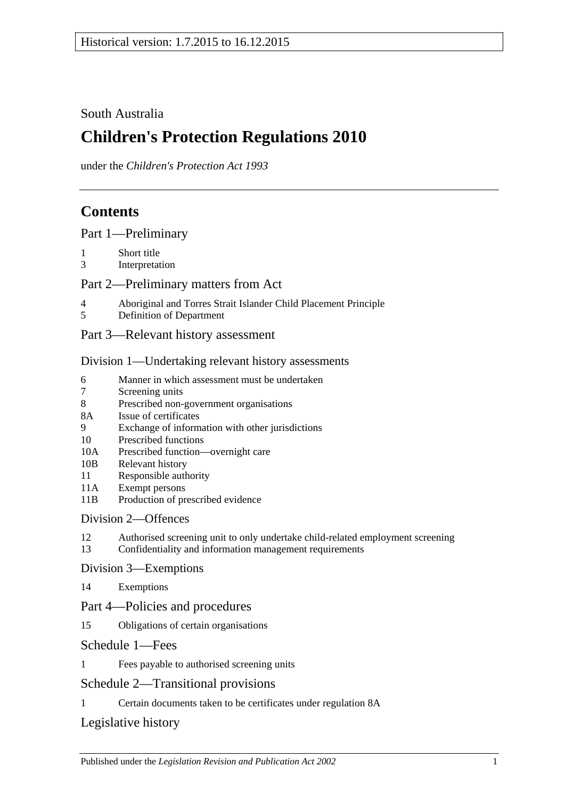## South Australia

# **Children's Protection Regulations 2010**

under the *Children's Protection Act 1993*

## **Contents**

[Part 1—Preliminary](#page-1-0)

- 1 [Short title](#page-1-1)
- 3 [Interpretation](#page-1-2)

#### [Part 2—Preliminary matters from Act](#page-1-3)

- 4 [Aboriginal and Torres Strait Islander Child Placement Principle](#page-1-4)
- 5 [Definition of Department](#page-2-0)
- [Part 3—Relevant history assessment](#page-2-1)

#### [Division 1—Undertaking relevant history assessments](#page-2-2)

- 6 [Manner in which assessment must be undertaken](#page-2-3)<br>
Screening units
- [Screening units](#page-3-0)
- 8 [Prescribed non-government organisations](#page-3-1)
- 8A [Issue of certificates](#page-4-0)
- 9 [Exchange of information with other jurisdictions](#page-4-1)
- 10 [Prescribed functions](#page-4-2)
- 10A [Prescribed function—overnight care](#page-5-0)
- 10B [Relevant history](#page-5-1)
- 11 [Responsible](#page-5-2) authority
- 11A [Exempt persons](#page-6-0)
- 11B [Production of prescribed evidence](#page-6-1)

#### [Division 2—Offences](#page-6-2)

- 12 [Authorised screening unit to only undertake child-related employment screening](#page-6-3)
- 13 [Confidentiality and information management requirements](#page-7-0)

#### [Division 3—Exemptions](#page-8-0)

14 [Exemptions](#page-8-1)

#### Part [4—Policies and procedures](#page-9-0)

15 [Obligations of certain organisations](#page-9-1)

#### [Schedule 1—Fees](#page-9-2)

1 [Fees payable to authorised screening units](#page-9-3)

## [Schedule 2—Transitional provisions](#page-9-4)

1 [Certain documents taken to be certificates under regulation](#page-9-5) 8A

## [Legislative history](#page-11-0)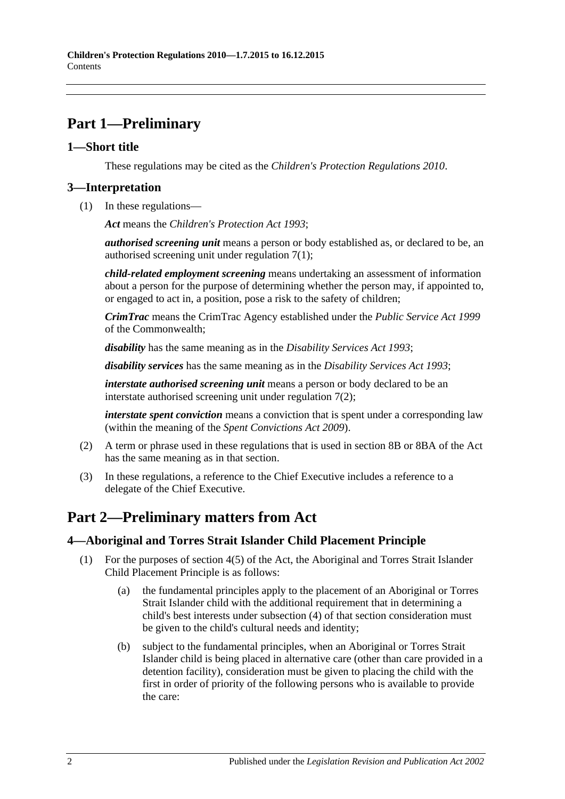## <span id="page-1-0"></span>**Part 1—Preliminary**

#### <span id="page-1-1"></span>**1—Short title**

These regulations may be cited as the *Children's Protection Regulations 2010*.

### <span id="page-1-2"></span>**3—Interpretation**

(1) In these regulations—

*Act* means the *[Children's Protection Act](http://www.legislation.sa.gov.au/index.aspx?action=legref&type=act&legtitle=Childrens%20Protection%20Act%201993) 1993*;

*authorised screening unit* means a person or body established as, or declared to be, an authorised screening unit under [regulation](#page-3-2) 7(1);

*child-related employment screening* means undertaking an assessment of information about a person for the purpose of determining whether the person may, if appointed to, or engaged to act in, a position, pose a risk to the safety of children;

*CrimTrac* means the CrimTrac Agency established under the *Public Service Act 1999* of the Commonwealth;

*disability* has the same meaning as in the *[Disability Services Act](http://www.legislation.sa.gov.au/index.aspx?action=legref&type=act&legtitle=Disability%20Services%20Act%201993) 1993*;

*disability services* has the same meaning as in the *[Disability Services Act](http://www.legislation.sa.gov.au/index.aspx?action=legref&type=act&legtitle=Disability%20Services%20Act%201993) 1993*;

*interstate authorised screening unit* means a person or body declared to be an interstate authorised screening unit under [regulation](#page-3-3) 7(2);

*interstate spent conviction* means a conviction that is spent under a corresponding law (within the meaning of the *[Spent Convictions Act](http://www.legislation.sa.gov.au/index.aspx?action=legref&type=act&legtitle=Spent%20Convictions%20Act%202009) 2009*).

- (2) A term or phrase used in these regulations that is used in section 8B or 8BA of the Act has the same meaning as in that section.
- (3) In these regulations, a reference to the Chief Executive includes a reference to a delegate of the Chief Executive.

## <span id="page-1-3"></span>**Part 2—Preliminary matters from Act**

#### <span id="page-1-4"></span>**4—Aboriginal and Torres Strait Islander Child Placement Principle**

- <span id="page-1-5"></span>(1) For the purposes of section 4(5) of the Act, the Aboriginal and Torres Strait Islander Child Placement Principle is as follows:
	- (a) the fundamental principles apply to the placement of an Aboriginal or Torres Strait Islander child with the additional requirement that in determining a child's best interests under subsection (4) of that section consideration must be given to the child's cultural needs and identity;
	- (b) subject to the fundamental principles, when an Aboriginal or Torres Strait Islander child is being placed in alternative care (other than care provided in a detention facility), consideration must be given to placing the child with the first in order of priority of the following persons who is available to provide the care: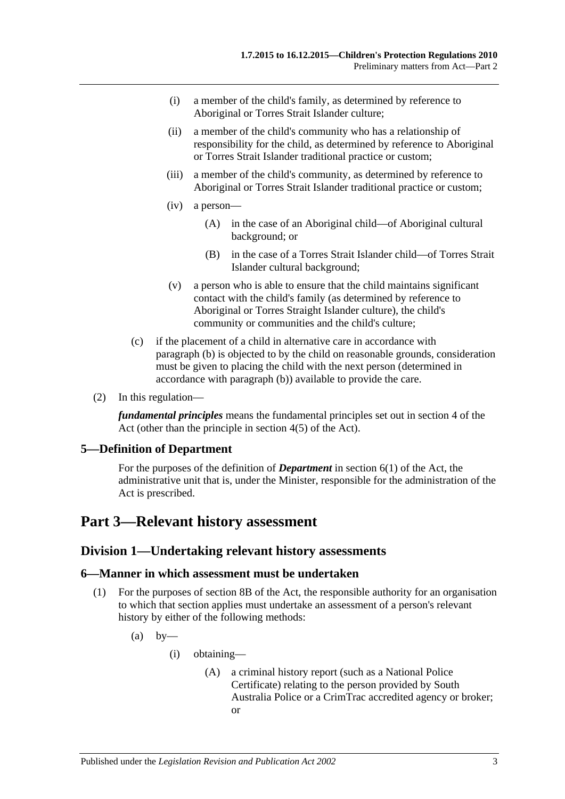- (i) a member of the child's family, as determined by reference to Aboriginal or Torres Strait Islander culture;
- (ii) a member of the child's community who has a relationship of responsibility for the child, as determined by reference to Aboriginal or Torres Strait Islander traditional practice or custom;
- (iii) a member of the child's community, as determined by reference to Aboriginal or Torres Strait Islander traditional practice or custom;
- (iv) a person—
	- (A) in the case of an Aboriginal child—of Aboriginal cultural background; or
	- (B) in the case of a Torres Strait Islander child—of Torres Strait Islander cultural background;
- (v) a person who is able to ensure that the child maintains significant contact with the child's family (as determined by reference to Aboriginal or Torres Straight Islander culture), the child's community or communities and the child's culture;
- (c) if the placement of a child in alternative care in accordance with [paragraph](#page-1-5) (b) is objected to by the child on reasonable grounds, consideration must be given to placing the child with the next person (determined in accordance with [paragraph](#page-1-5) (b)) available to provide the care.
- (2) In this regulation—

*fundamental principles* means the fundamental principles set out in section 4 of the Act (other than the principle in section 4(5) of the Act).

#### <span id="page-2-0"></span>**5—Definition of Department**

For the purposes of the definition of *Department* in section 6(1) of the Act, the administrative unit that is, under the Minister, responsible for the administration of the Act is prescribed.

## <span id="page-2-2"></span><span id="page-2-1"></span>**Part 3—Relevant history assessment**

#### **Division 1—Undertaking relevant history assessments**

#### <span id="page-2-3"></span>**6—Manner in which assessment must be undertaken**

- <span id="page-2-4"></span>(1) For the purposes of section 8B of the Act, the responsible authority for an organisation to which that section applies must undertake an assessment of a person's relevant history by either of the following methods:
	- $(a)$  by
		- (i) obtaining—
			- (A) a criminal history report (such as a National Police Certificate) relating to the person provided by South Australia Police or a CrimTrac accredited agency or broker; or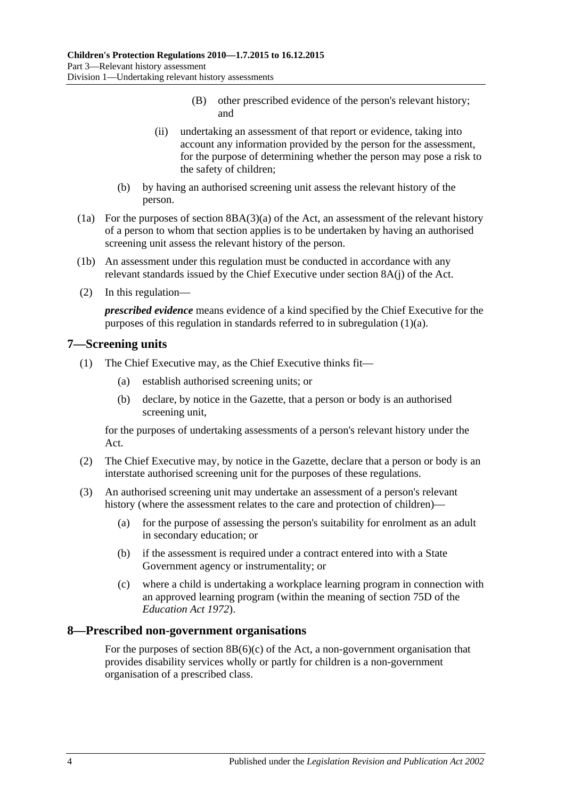- (B) other prescribed evidence of the person's relevant history; and
- (ii) undertaking an assessment of that report or evidence, taking into account any information provided by the person for the assessment, for the purpose of determining whether the person may pose a risk to the safety of children;
- (b) by having an authorised screening unit assess the relevant history of the person.
- (1a) For the purposes of section 8BA(3)(a) of the Act, an assessment of the relevant history of a person to whom that section applies is to be undertaken by having an authorised screening unit assess the relevant history of the person.
- (1b) An assessment under this regulation must be conducted in accordance with any relevant standards issued by the Chief Executive under section 8A(j) of the Act.
- (2) In this regulation—

*prescribed evidence* means evidence of a kind specified by the Chief Executive for the purposes of this regulation in standards referred to in [subregulation](#page-2-4) (1)(a).

#### <span id="page-3-2"></span><span id="page-3-0"></span>**7—Screening units**

- <span id="page-3-4"></span>(1) The Chief Executive may, as the Chief Executive thinks fit—
	- (a) establish authorised screening units; or
	- (b) declare, by notice in the Gazette, that a person or body is an authorised screening unit,

for the purposes of undertaking assessments of a person's relevant history under the Act.

- <span id="page-3-3"></span>(2) The Chief Executive may, by notice in the Gazette, declare that a person or body is an interstate authorised screening unit for the purposes of these regulations.
- <span id="page-3-5"></span>(3) An authorised screening unit may undertake an assessment of a person's relevant history (where the assessment relates to the care and protection of children)—
	- (a) for the purpose of assessing the person's suitability for enrolment as an adult in secondary education; or
	- (b) if the assessment is required under a contract entered into with a State Government agency or instrumentality; or
	- (c) where a child is undertaking a workplace learning program in connection with an approved learning program (within the meaning of section 75D of the *[Education Act](http://www.legislation.sa.gov.au/index.aspx?action=legref&type=act&legtitle=Education%20Act%201972) 1972*).

#### <span id="page-3-1"></span>**8—Prescribed non-government organisations**

For the purposes of section  $8B(6)(c)$  of the Act, a non-government organisation that provides disability services wholly or partly for children is a non-government organisation of a prescribed class.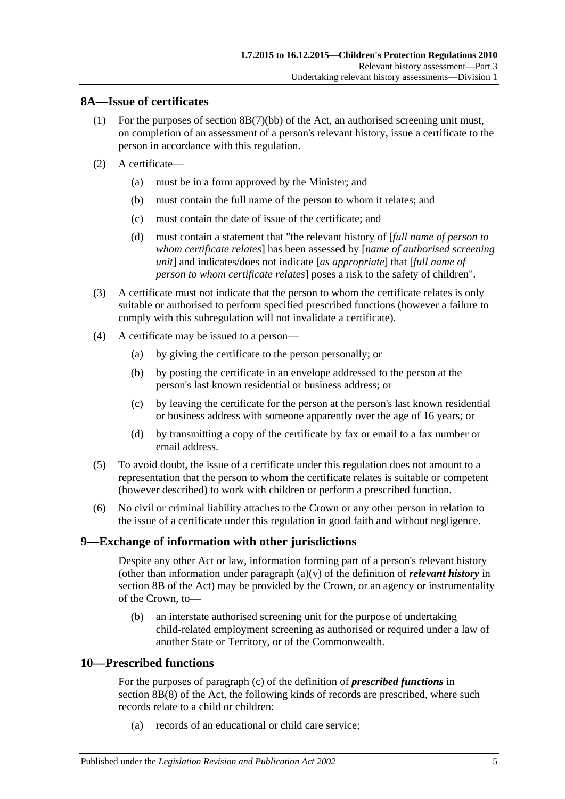#### <span id="page-4-0"></span>**8A—Issue of certificates**

- (1) For the purposes of section 8B(7)(bb) of the Act, an authorised screening unit must, on completion of an assessment of a person's relevant history, issue a certificate to the person in accordance with this regulation.
- (2) A certificate—
	- (a) must be in a form approved by the Minister; and
	- (b) must contain the full name of the person to whom it relates; and
	- (c) must contain the date of issue of the certificate; and
	- (d) must contain a statement that "the relevant history of [*full name of person to whom certificate relates*] has been assessed by [*name of authorised screening unit*] and indicates/does not indicate [*as appropriate*] that [*full name of person to whom certificate relates*] poses a risk to the safety of children".
- (3) A certificate must not indicate that the person to whom the certificate relates is only suitable or authorised to perform specified prescribed functions (however a failure to comply with this subregulation will not invalidate a certificate).
- (4) A certificate may be issued to a person—
	- (a) by giving the certificate to the person personally; or
	- (b) by posting the certificate in an envelope addressed to the person at the person's last known residential or business address; or
	- (c) by leaving the certificate for the person at the person's last known residential or business address with someone apparently over the age of 16 years; or
	- (d) by transmitting a copy of the certificate by fax or email to a fax number or email address.
- (5) To avoid doubt, the issue of a certificate under this regulation does not amount to a representation that the person to whom the certificate relates is suitable or competent (however described) to work with children or perform a prescribed function.
- (6) No civil or criminal liability attaches to the Crown or any other person in relation to the issue of a certificate under this regulation in good faith and without negligence.

#### <span id="page-4-1"></span>**9—Exchange of information with other jurisdictions**

Despite any other Act or law, information forming part of a person's relevant history (other than information under paragraph (a)(v) of the definition of *relevant history* in section 8B of the Act) may be provided by the Crown, or an agency or instrumentality of the Crown, to—

(b) an interstate authorised screening unit for the purpose of undertaking child-related employment screening as authorised or required under a law of another State or Territory, or of the Commonwealth.

### <span id="page-4-2"></span>**10—Prescribed functions**

For the purposes of paragraph (c) of the definition of *prescribed functions* in section 8B(8) of the Act, the following kinds of records are prescribed, where such records relate to a child or children:

(a) records of an educational or child care service;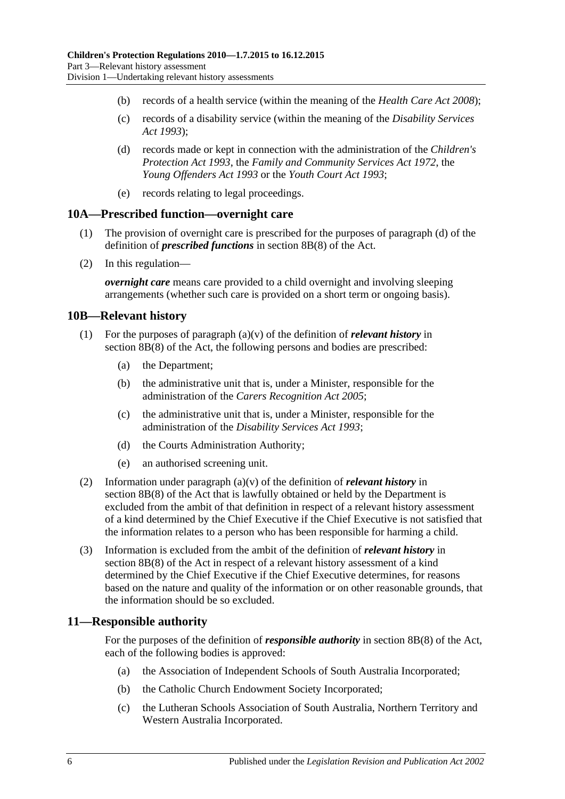- (b) records of a health service (within the meaning of the *[Health Care Act](http://www.legislation.sa.gov.au/index.aspx?action=legref&type=act&legtitle=Health%20Care%20Act%202008) 2008*);
- (c) records of a disability service (within the meaning of the *[Disability Services](http://www.legislation.sa.gov.au/index.aspx?action=legref&type=act&legtitle=Disability%20Services%20Act%201993)  Act [1993](http://www.legislation.sa.gov.au/index.aspx?action=legref&type=act&legtitle=Disability%20Services%20Act%201993)*);
- (d) records made or kept in connection with the administration of the *[Children's](http://www.legislation.sa.gov.au/index.aspx?action=legref&type=act&legtitle=Childrens%20Protection%20Act%201993)  [Protection Act](http://www.legislation.sa.gov.au/index.aspx?action=legref&type=act&legtitle=Childrens%20Protection%20Act%201993) 1993*, the *[Family and Community Services Act](http://www.legislation.sa.gov.au/index.aspx?action=legref&type=act&legtitle=Family%20and%20Community%20Services%20Act%201972) 1972*, the *[Young Offenders Act](http://www.legislation.sa.gov.au/index.aspx?action=legref&type=act&legtitle=Young%20Offenders%20Act%201993) 1993* or the *[Youth Court Act](http://www.legislation.sa.gov.au/index.aspx?action=legref&type=act&legtitle=Youth%20Court%20Act%201993) 1993*;
- (e) records relating to legal proceedings.

#### <span id="page-5-0"></span>**10A—Prescribed function—overnight care**

- (1) The provision of overnight care is prescribed for the purposes of paragraph (d) of the definition of *prescribed functions* in section 8B(8) of the Act.
- (2) In this regulation—

*overnight care* means care provided to a child overnight and involving sleeping arrangements (whether such care is provided on a short term or ongoing basis).

#### <span id="page-5-1"></span>**10B—Relevant history**

- (1) For the purposes of paragraph  $(a)(v)$  of the definition of *relevant history* in section 8B(8) of the Act, the following persons and bodies are prescribed:
	- (a) the Department;
	- (b) the administrative unit that is, under a Minister, responsible for the administration of the *[Carers Recognition Act](http://www.legislation.sa.gov.au/index.aspx?action=legref&type=act&legtitle=Carers%20Recognition%20Act%202005) 2005*;
	- (c) the administrative unit that is, under a Minister, responsible for the administration of the *[Disability Services Act](http://www.legislation.sa.gov.au/index.aspx?action=legref&type=act&legtitle=Disability%20Services%20Act%201993) 1993*;
	- (d) the Courts Administration Authority;
	- (e) an authorised screening unit.
- (2) Information under paragraph (a)(v) of the definition of *relevant history* in section 8B(8) of the Act that is lawfully obtained or held by the Department is excluded from the ambit of that definition in respect of a relevant history assessment of a kind determined by the Chief Executive if the Chief Executive is not satisfied that the information relates to a person who has been responsible for harming a child.
- (3) Information is excluded from the ambit of the definition of *relevant history* in section 8B(8) of the Act in respect of a relevant history assessment of a kind determined by the Chief Executive if the Chief Executive determines, for reasons based on the nature and quality of the information or on other reasonable grounds, that the information should be so excluded.

#### <span id="page-5-2"></span>**11—Responsible authority**

For the purposes of the definition of *responsible authority* in section 8B(8) of the Act, each of the following bodies is approved:

- (a) the Association of Independent Schools of South Australia Incorporated;
- (b) the Catholic Church Endowment Society Incorporated;
- (c) the Lutheran Schools Association of South Australia, Northern Territory and Western Australia Incorporated.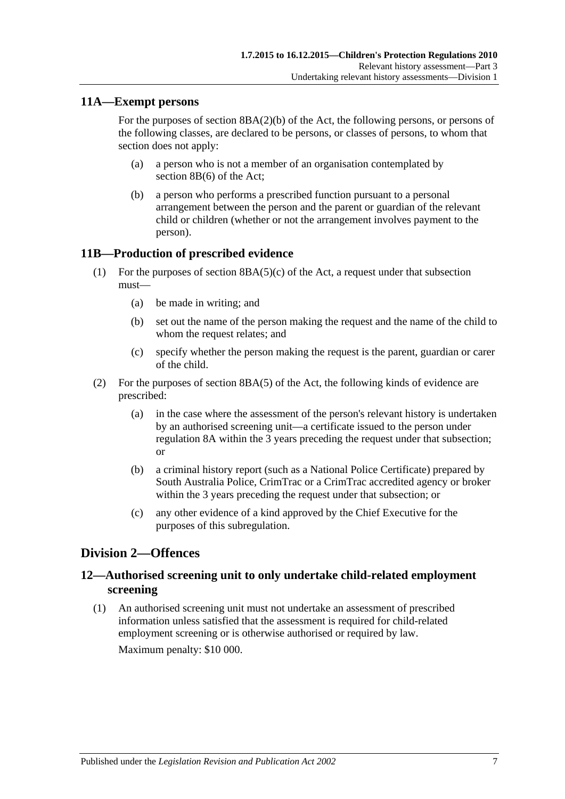#### <span id="page-6-0"></span>**11A—Exempt persons**

For the purposes of section 8BA(2)(b) of the Act, the following persons, or persons of the following classes, are declared to be persons, or classes of persons, to whom that section does not apply:

- (a) a person who is not a member of an organisation contemplated by section 8B(6) of the Act;
- (b) a person who performs a prescribed function pursuant to a personal arrangement between the person and the parent or guardian of the relevant child or children (whether or not the arrangement involves payment to the person).

#### <span id="page-6-1"></span>**11B—Production of prescribed evidence**

- (1) For the purposes of section  $8BA(5)(c)$  of the Act, a request under that subsection must—
	- (a) be made in writing; and
	- (b) set out the name of the person making the request and the name of the child to whom the request relates; and
	- (c) specify whether the person making the request is the parent, guardian or carer of the child.
- (2) For the purposes of section 8BA(5) of the Act, the following kinds of evidence are prescribed:
	- (a) in the case where the assessment of the person's relevant history is undertaken by an authorised screening unit—a certificate issued to the person under [regulation](#page-4-0) 8A within the 3 years preceding the request under that subsection; or
	- (b) a criminal history report (such as a National Police Certificate) prepared by South Australia Police, CrimTrac or a CrimTrac accredited agency or broker within the 3 years preceding the request under that subsection; or
	- (c) any other evidence of a kind approved by the Chief Executive for the purposes of this subregulation.

## <span id="page-6-2"></span>**Division 2—Offences**

## <span id="page-6-3"></span>**12—Authorised screening unit to only undertake child-related employment screening**

(1) An authorised screening unit must not undertake an assessment of prescribed information unless satisfied that the assessment is required for child-related employment screening or is otherwise authorised or required by law.

Maximum penalty: \$10 000.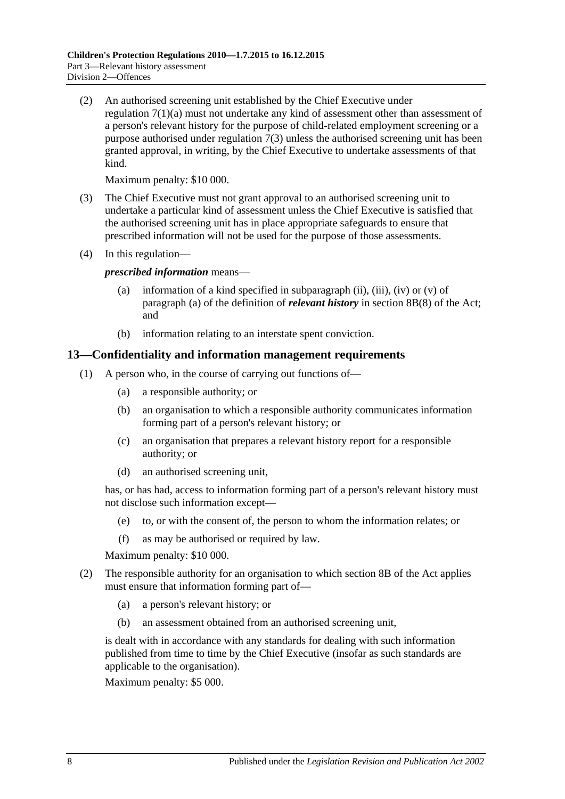(2) An authorised screening unit established by the Chief Executive under [regulation](#page-3-4) 7(1)(a) must not undertake any kind of assessment other than assessment of a person's relevant history for the purpose of child-related employment screening or a purpose authorised under [regulation](#page-3-5) 7(3) unless the authorised screening unit has been granted approval, in writing, by the Chief Executive to undertake assessments of that kind.

Maximum penalty: \$10 000.

- (3) The Chief Executive must not grant approval to an authorised screening unit to undertake a particular kind of assessment unless the Chief Executive is satisfied that the authorised screening unit has in place appropriate safeguards to ensure that prescribed information will not be used for the purpose of those assessments.
- (4) In this regulation—

*prescribed information* means—

- (a) information of a kind specified in subparagraph (ii), (iii), (iv) or  $(v)$  of paragraph (a) of the definition of *relevant history* in section 8B(8) of the Act; and
- (b) information relating to an interstate spent conviction.

#### <span id="page-7-0"></span>**13—Confidentiality and information management requirements**

- (1) A person who, in the course of carrying out functions of—
	- (a) a responsible authority; or
	- (b) an organisation to which a responsible authority communicates information forming part of a person's relevant history; or
	- (c) an organisation that prepares a relevant history report for a responsible authority; or
	- (d) an authorised screening unit,

has, or has had, access to information forming part of a person's relevant history must not disclose such information except—

- (e) to, or with the consent of, the person to whom the information relates; or
- (f) as may be authorised or required by law.

Maximum penalty: \$10 000.

- (2) The responsible authority for an organisation to which section 8B of the Act applies must ensure that information forming part of—
	- (a) a person's relevant history; or
	- (b) an assessment obtained from an authorised screening unit,

is dealt with in accordance with any standards for dealing with such information published from time to time by the Chief Executive (insofar as such standards are applicable to the organisation).

Maximum penalty: \$5 000.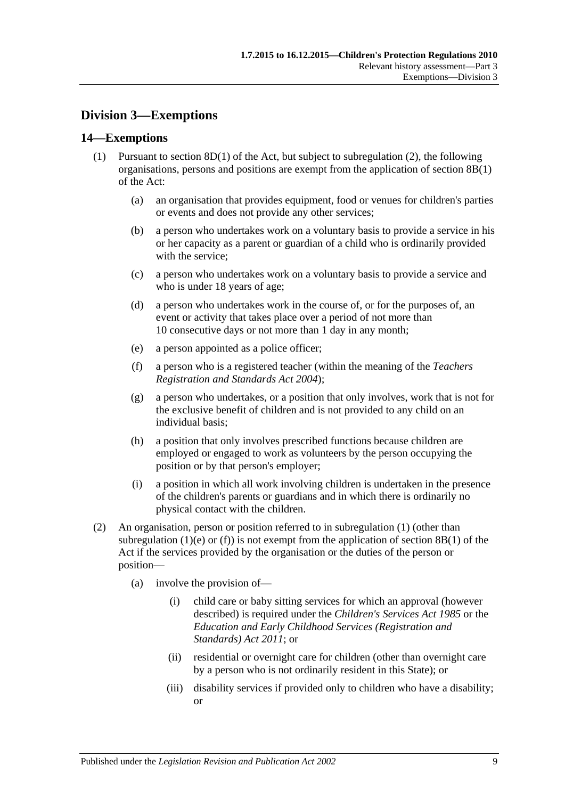## <span id="page-8-0"></span>**Division 3—Exemptions**

#### <span id="page-8-3"></span><span id="page-8-1"></span>**14—Exemptions**

- <span id="page-8-4"></span>(1) Pursuant to section  $8D(1)$  of the Act, but subject to [subregulation](#page-8-2) (2), the following organisations, persons and positions are exempt from the application of section 8B(1) of the Act:
	- (a) an organisation that provides equipment, food or venues for children's parties or events and does not provide any other services;
	- (b) a person who undertakes work on a voluntary basis to provide a service in his or her capacity as a parent or guardian of a child who is ordinarily provided with the service;
	- (c) a person who undertakes work on a voluntary basis to provide a service and who is under 18 years of age;
	- (d) a person who undertakes work in the course of, or for the purposes of, an event or activity that takes place over a period of not more than 10 consecutive days or not more than 1 day in any month;
	- (e) a person appointed as a police officer;
	- (f) a person who is a registered teacher (within the meaning of the *[Teachers](http://www.legislation.sa.gov.au/index.aspx?action=legref&type=act&legtitle=Teachers%20Registration%20and%20Standards%20Act%202004)  [Registration and Standards Act](http://www.legislation.sa.gov.au/index.aspx?action=legref&type=act&legtitle=Teachers%20Registration%20and%20Standards%20Act%202004) 2004*);
	- (g) a person who undertakes, or a position that only involves, work that is not for the exclusive benefit of children and is not provided to any child on an individual basis;
	- (h) a position that only involves prescribed functions because children are employed or engaged to work as volunteers by the person occupying the position or by that person's employer;
	- (i) a position in which all work involving children is undertaken in the presence of the children's parents or guardians and in which there is ordinarily no physical contact with the children.
- <span id="page-8-5"></span><span id="page-8-2"></span>(2) An organisation, person or position referred to in [subregulation](#page-8-3) (1) (other than [subregulation](#page-8-4) (1)(e) or [\(f\)\)](#page-8-5) is not exempt from the application of section 8B(1) of the Act if the services provided by the organisation or the duties of the person or position—
	- (a) involve the provision of—
		- (i) child care or baby sitting services for which an approval (however described) is required under the *[Children's Services Act](http://www.legislation.sa.gov.au/index.aspx?action=legref&type=act&legtitle=Childrens%20Services%20Act%201985) 1985* or the *[Education and Early Childhood Services \(Registration and](http://www.legislation.sa.gov.au/index.aspx?action=legref&type=act&legtitle=Education%20and%20Early%20Childhood%20Services%20(Registration%20and%20Standards)%20Act%202011)  [Standards\) Act](http://www.legislation.sa.gov.au/index.aspx?action=legref&type=act&legtitle=Education%20and%20Early%20Childhood%20Services%20(Registration%20and%20Standards)%20Act%202011) 2011*; or
		- (ii) residential or overnight care for children (other than overnight care by a person who is not ordinarily resident in this State); or
		- (iii) disability services if provided only to children who have a disability; or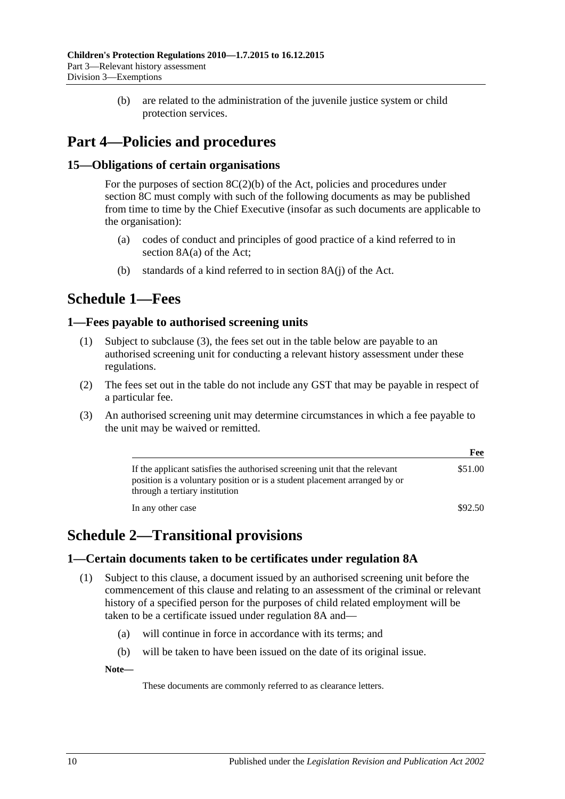(b) are related to the administration of the juvenile justice system or child protection services.

## <span id="page-9-0"></span>**Part 4—Policies and procedures**

### <span id="page-9-1"></span>**15—Obligations of certain organisations**

For the purposes of section  $8C(2)(b)$  of the Act, policies and procedures under section 8C must comply with such of the following documents as may be published from time to time by the Chief Executive (insofar as such documents are applicable to the organisation):

- (a) codes of conduct and principles of good practice of a kind referred to in section 8A(a) of the Act;
- (b) standards of a kind referred to in section 8A(j) of the Act.

## <span id="page-9-2"></span>**Schedule 1—Fees**

#### <span id="page-9-3"></span>**1—Fees payable to authorised screening units**

- (1) Subject to [subclause](#page-9-6) (3), the fees set out in the table below are payable to an authorised screening unit for conducting a relevant history assessment under these regulations.
- (2) The fees set out in the table do not include any GST that may be payable in respect of a particular fee.
- <span id="page-9-6"></span>(3) An authorised screening unit may determine circumstances in which a fee payable to the unit may be waived or remitted.

|                                                                                                                                                                                           | Fee     |
|-------------------------------------------------------------------------------------------------------------------------------------------------------------------------------------------|---------|
| If the applicant satisfies the authorised screening unit that the relevant<br>position is a voluntary position or is a student placement arranged by or<br>through a tertiary institution | \$51.00 |
| In any other case                                                                                                                                                                         | \$92.50 |

## <span id="page-9-4"></span>**Schedule 2—Transitional provisions**

#### <span id="page-9-7"></span><span id="page-9-5"></span>**1—Certain documents taken to be certificates under regulation 8A**

- (1) Subject to this clause, a document issued by an authorised screening unit before the commencement of this clause and relating to an assessment of the criminal or relevant history of a specified person for the purposes of child related employment will be taken to be a certificate issued under [regulation](#page-4-0) 8A and—
	- (a) will continue in force in accordance with its terms; and
	- (b) will be taken to have been issued on the date of its original issue.

**Note—**

These documents are commonly referred to as clearance letters.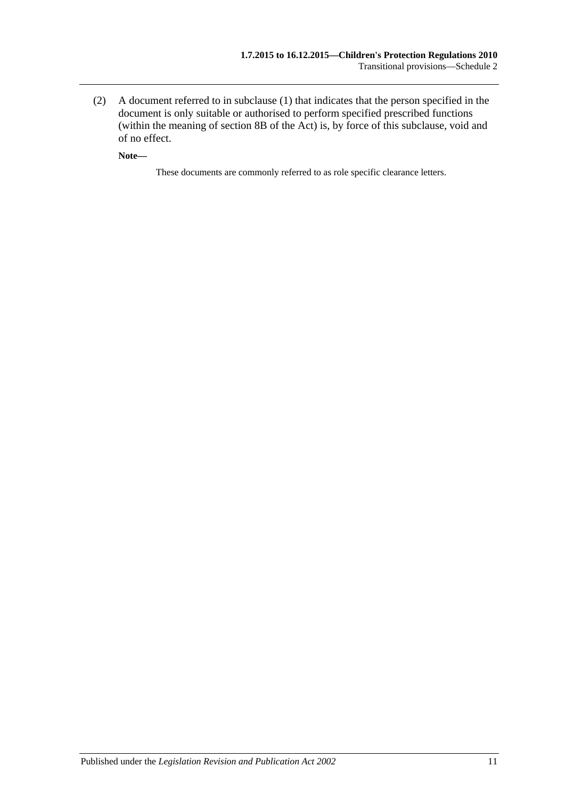(2) A document referred to in [subclause](#page-9-7) (1) that indicates that the person specified in the document is only suitable or authorised to perform specified prescribed functions (within the meaning of section 8B of the Act) is, by force of this subclause, void and of no effect.

**Note—**

These documents are commonly referred to as role specific clearance letters.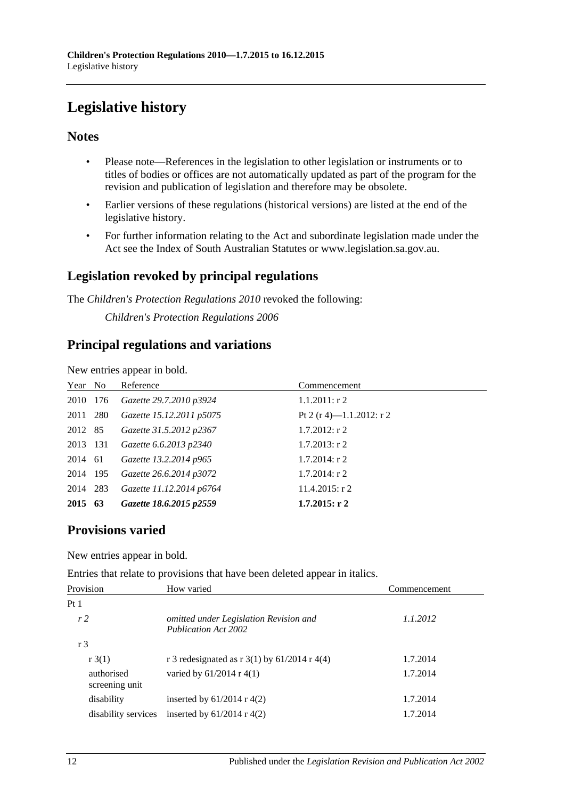## <span id="page-11-0"></span>**Legislative history**

#### **Notes**

- Please note—References in the legislation to other legislation or instruments or to titles of bodies or offices are not automatically updated as part of the program for the revision and publication of legislation and therefore may be obsolete.
- Earlier versions of these regulations (historical versions) are listed at the end of the legislative history.
- For further information relating to the Act and subordinate legislation made under the Act see the Index of South Australian Statutes or www.legislation.sa.gov.au.

## **Legislation revoked by principal regulations**

The *Children's Protection Regulations 2010* revoked the following:

*Children's Protection Regulations 2006*

## **Principal regulations and variations**

New entries appear in bold.

| Year No  | Reference                | Commencement             |
|----------|--------------------------|--------------------------|
| 2010 176 | Gazette 29.7.2010 p3924  | $1.1.2011:$ r 2          |
| 2011 280 | Gazette 15.12.2011 p5075 | Pt 2 (r 4)—1.1.2012: r 2 |
| 2012 85  | Gazette 31.5.2012 p2367  | $1.7.2012$ : r 2         |
| 2013 131 | Gazette 6.6.2013 p2340   | $1.7.2013$ : r 2         |
| 2014 61  | Gazette 13.2.2014 p965   | $1.7.2014$ : r 2         |
| 2014 195 | Gazette 26.6.2014 p3072  | $1.7.2014$ : r 2         |
| 2014 283 | Gazette 11.12.2014 p6764 | $11.4.2015$ : r 2        |
| 2015 63  | Gazette 18.6.2015 p2559  | $1.7.2015$ : r 2         |

## **Provisions varied**

New entries appear in bold.

Entries that relate to provisions that have been deleted appear in italics.

| Provision                    | How varied                                                     | Commencement |
|------------------------------|----------------------------------------------------------------|--------------|
| Pt <sub>1</sub>              |                                                                |              |
| r <sub>2</sub>               | omitted under Legislation Revision and<br>Publication Act 2002 | 1.1.2012     |
| r <sub>3</sub>               |                                                                |              |
| $r \cdot 3(1)$               | r 3 redesignated as r $3(1)$ by 61/2014 r 4(4)                 | 1.7.2014     |
| authorised<br>screening unit | varied by $61/2014$ r 4(1)                                     | 1.7.2014     |
| disability                   | inserted by $61/2014$ r 4(2)                                   | 1.7.2014     |
| disability services          | inserted by $61/2014$ r 4(2)                                   | 1.7.2014     |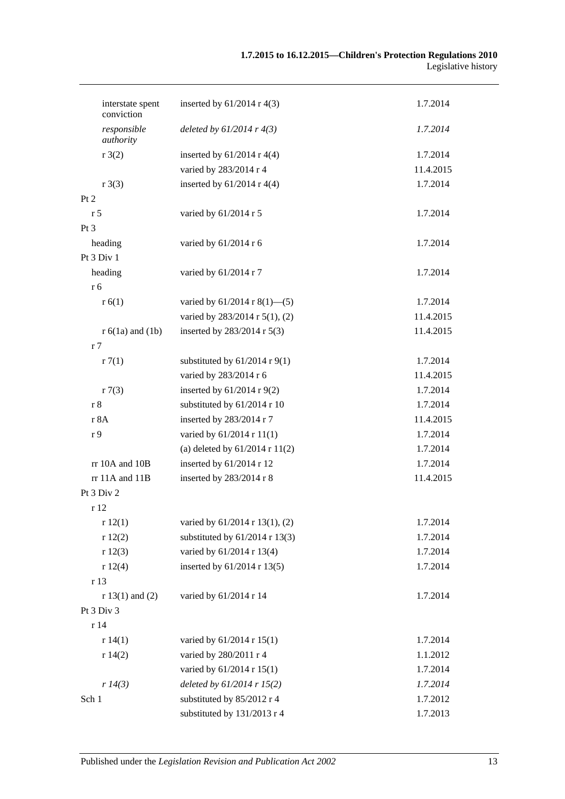| interstate spent<br>conviction | inserted by $61/2014$ r 4(3)       | 1.7.2014  |
|--------------------------------|------------------------------------|-----------|
| responsible<br>authority       | deleted by $61/2014$ r $4(3)$      | 1.7.2014  |
| r3(2)                          | inserted by $61/2014$ r 4(4)       | 1.7.2014  |
|                                | varied by 283/2014 r 4             | 11.4.2015 |
| r3(3)                          | inserted by $61/2014$ r 4(4)       | 1.7.2014  |
| Pt 2                           |                                    |           |
| r <sub>5</sub>                 | varied by 61/2014 r 5              | 1.7.2014  |
| Pt 3                           |                                    |           |
| heading                        | varied by 61/2014 r 6              | 1.7.2014  |
| Pt 3 Div 1                     |                                    |           |
| heading                        | varied by 61/2014 r 7              | 1.7.2014  |
| r 6                            |                                    |           |
| r(6(1))                        | varied by $61/2014$ r $8(1)$ —(5)  | 1.7.2014  |
|                                | varied by 283/2014 r 5(1), (2)     | 11.4.2015 |
| $r 6(1a)$ and $(1b)$           | inserted by 283/2014 r 5(3)        | 11.4.2015 |
| r <sub>7</sub>                 |                                    |           |
| r7(1)                          | substituted by $61/2014$ r $9(1)$  | 1.7.2014  |
|                                | varied by 283/2014 r 6             | 11.4.2015 |
| r7(3)                          | inserted by $61/2014$ r $9(2)$     | 1.7.2014  |
| r 8                            | substituted by 61/2014 r 10        | 1.7.2014  |
| r 8A                           | inserted by 283/2014 r 7           | 11.4.2015 |
| r <sub>9</sub>                 | varied by 61/2014 r 11(1)          | 1.7.2014  |
|                                | (a) deleted by $61/2014$ r $11(2)$ | 1.7.2014  |
| rr 10A and 10B                 | inserted by $61/2014$ r 12         | 1.7.2014  |
| rr 11A and 11B                 | inserted by 283/2014 r 8           | 11.4.2015 |
| Pt 3 Div 2                     |                                    |           |
| r 12                           |                                    |           |
| r12(1)                         | varied by 61/2014 r 13(1), (2)     | 1.7.2014  |
| r12(2)                         | substituted by $61/2014$ r 13(3)   | 1.7.2014  |
| r12(3)                         | varied by 61/2014 r 13(4)          | 1.7.2014  |
| r12(4)                         | inserted by 61/2014 r 13(5)        | 1.7.2014  |
| r 13                           |                                    |           |
| $r 13(1)$ and (2)              | varied by 61/2014 r 14             | 1.7.2014  |
| Pt 3 Div 3                     |                                    |           |
| r14                            |                                    |           |
| r 14(1)                        | varied by 61/2014 r 15(1)          | 1.7.2014  |
| r 14(2)                        | varied by 280/2011 r 4             | 1.1.2012  |
|                                | varied by 61/2014 r 15(1)          | 1.7.2014  |
| r 14(3)                        | deleted by $61/2014$ r $15(2)$     | 1.7.2014  |
| Sch 1                          | substituted by 85/2012 r 4         | 1.7.2012  |
|                                | substituted by 131/2013 r 4        | 1.7.2013  |